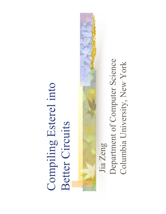#### Compiling Esterel into Compiling Esterel into Better Circuits Better Circuits

Department of Computer Science Department of Computer Science Columbia University, New York Columbia University, New YorkJia Zeng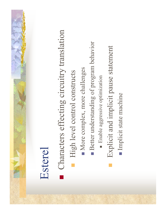#### Esterel

- Characters effecting circuitry translation Characters effecting circuitry translation **.**
- High level control constructs High level control constructs
- More complex, more challenges More complex, more challenges
- Better understanding of program behavior Better understanding of program behavior
- **Enable aggressive optimization** Enable aggressive optimization
- Explicit and implicit pause statement Explicit and implicit pause statement
- Implicit state machine Implicit state machine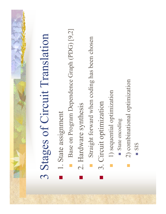# 3 Stages of Circuit Translation 3 Stages of Circuit Translation

1. State assignment 1. State assignment

!

- Base on Program Dependence Graph (PDG) [9,2] Base on Program Dependence Graph (PDG) [9,2]
- 2. Hardware synthesis **2. Hardware synthesis**

**.** 

- Straight forward when coding has been chosen Straight forward when coding has been chosen
- 3. Circuit optimization **3. Circuit optimization**

**In the contract of the contract of the contract of the contract of the contract of the contract of the contract** 

- 1) sequential optimization **1**) sequential optimization
- State encoding State encoding
- 2) combinational optimization 2) combinational optimization
- ! SIS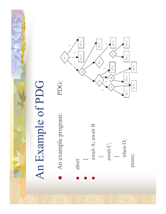### An Example of PDG An Example of PDG





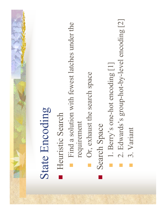### State Encoding State Encoding

Heuristic Search **Heuristic Search** 

- Find a solution with fewest latches under the Find a solution with fewest latches under the requirement requirement
	- Or, exhaust the search space Or, exhaust the search space
- Search Space Search Space !
- 1. Berry's one-hot encoding [1] 1. Berry's one-hot encoding [1]
- 2. Edwards's group-hot-by-level encoding [2] **2**. Edwards's group-hot-by-level encoding [2]
- 3. Variant 3. Variant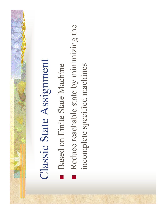## Classic State Assignment Classic State Assignment

- Based on Finite State Machine Based on Finite State Machine
- Reduce reachable state by minimizing the Reduce reachable state by minimizing the incomplete specified machines incomplete specified machines**.**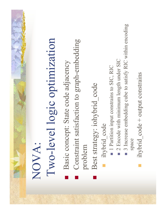### Two-level logic optimization Two-level logic optimization NOVA:

Basic concept: State code adjacency Basic concept: State code adjacency

!

- Constraint satisfaction to graph-embedding Constraint satisfaction to graph-embedding problem **In the contract of the contract of the contract of the contract of the contract of the contract of the contract**
- Best strategy: iohybrid code Best strategy: iohybrid\_code

- ihybrid code ihybrid\_code
- 1 Partition input constrains to SIC, RIC ■ 1 Partition input constrains to SIC, RIC
- 2 Encode with minimum length under SIC ■ 2 Encode with minimum length under SIC
- 3 Increase embedding cube to satisfy RIC within encoding 3 Increase embedding cube to satisfy RIC within encoding space
- ihybrid code + output constrains ihybrid\_code + output constrains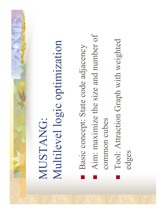#### Multilevel logic optimization Multilevel logic optimization MUSTANG: MUSTANG:

Basic concept: State code adjacency Basic concept: State code adjacency

**.** 

- Aim: maximize the size and number of Aim: maximize the size and number of common cubes common cubes **.**
- **Tool: Attraction Graph with weighted** Tool: Attraction Graph with weighted edges

!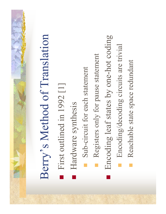# Berry's Method of Translation Berry's Method of Translation

- First outlined in 1992 [1] **First outlined in 1992** [1]
- Hardware synthesis Hardware synthesis **.**
- Sub-circuit for each statement Sub-circuit for each statement
- Registers only for pause statement **Registers only for pause statement**
- Encoding leaf states by one-hot coding Encoding leaf states by one-hot coding

- Encoding/decoding circuits are trivial **Encoding/decoding circuits are trivial**
- Reachable state space redundant Reachable state space redundant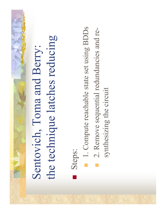### the technique latches reducing the technique latches reducing Sentovich, Toma and Berry: Sentovich, Toma and Berry:

Steps:

- 1. Compute reachable state set using BDDs 1. Compute reachable state set using BDDs
- 2. Remove sequential redundancies and re- 2. Remove sequential redundancies and re
	- synthesizing the circuit synthesizing the circuit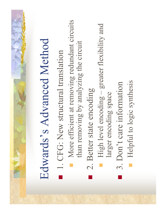## Edwards's Advanced Method Edwards's Advanced Method

- **1. CFG: New structural translation 1. CFG: New structural translation**
- More efficient at removing redundant circuits More efficient at removing redundant circuits than removing by analyzing the circuit than removing by analyzing the circuit
- 2. Better state encoding 2. Better state encoding

**.** 

- **High level encoding greater flexibility and** High level encoding – greater flexibility and larger encoding space larger encoding space
- 3. Don't care information ■ 3. Don't care information

!

Helpful to logic synthesis **Helpful to logic synthesis**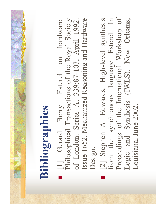### Bibliographies **Bibliographies**

!

- [1] Gerard Berry. Esterel on hardware. Philosophical Transactions of the Royal Society of London. Series A, 339:87-103, April 1992. Issue 1652, Mechanized Reasoning and Hardware Issue 1652, Mechanized Reasoning and Hardware [1] Gerard Berry. Esterel on hardware. Philosophical Transactions of the Royal Society of London. Series A, 339:87-103, April 1992. Design.
- [2] Stephen A. Edwards. High-level synthesis from the synchronous language Esterel. In Proceedings of the International Workshop of Logic and Synthesis (IWLS). New Orleans, Proceedings of the International Workshop of [2] Stephen A. Edwards. High-level synthesis from the synchronous language Esterel. In Logic and Synthesis (IWLS). New Orleans, Louisiana, June 2002. Louisiana, June 2002.

!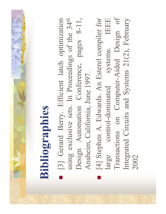### Bibliographies **Bibliographies**

!

- [3] Gerard Berry. Efficient latch optimization Design Automation Conference, pages 8-11, [3] Gerard Berry. Efficient latch optimization using exclusive sets. In Proceedings of the 34<sup>th</sup> Design Automation Conference, pages 8-11, using exclusive sets. In Proceedings of the 34th Anaheim, California, June 1997. Anaheim, California, June 1997.
- [4] Stephen A. Edwards. An Esterel compiler for large control-dominated systems. IEEE Transactions on Computer-Aided Design of Integrated Circuits and Systems 21(2), February Transactions on Computer-Aided Design of [4] Stephen A. Edwards. An Esterel compiler for large control-dominated systems. IEEE Integrated Circuits and Systems 21(2), February 2002

**In the contract of the contract of the contract of the contract of the contract of the contract of the contract**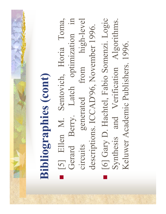## **Bibliographies (comt) Bibliographies (cont)**

 [5] Ellen M. Sentovich, Horia Toma, Gerard Berry. Latch optimization in circuits generated from high-level [6] Gary D. Hachtel, Fabio Somenzi. Logic circuits generated from high-level [6] Gary D. Hachtel, Fabio Somenzi. Logic [5] Ellen M. Sentovich, Horia Toma, Gerard Berry. Latch optimization in Synthesis and Verification Algorithms. Synthesis and Verification Algorithms. descriptions. ICCAD'96, November 1996. descriptions. ICCAD'96, November 1996.

!

Keluwer Academic Publishers. 1996.

Keluwer Academic Publishers. 1996.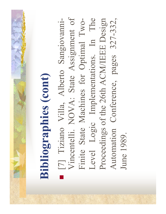## Bibliographies (comt) **Bibliographies (cont)**

**.** 

Vincentelli. NOVA: State Assignment of Level Logic Implementations. In The Proceedings of the 26th ACM/IEEE Design Automation Conference, pages 327-332, Vincentelli. NOVA: State Assignment of [7] Tiziano Villa, Alberto Sangiovanni-Finite State Machines for Optimal Two-Level Logic Implementations. In The Proceedings of the 26th ACM/IEEE Design Automation Conference, pages 327-332, [7] Tiziano Villa, Alberto Sangiovanni-Finite State Machines for Optimal Two-June 1989. June 1989.